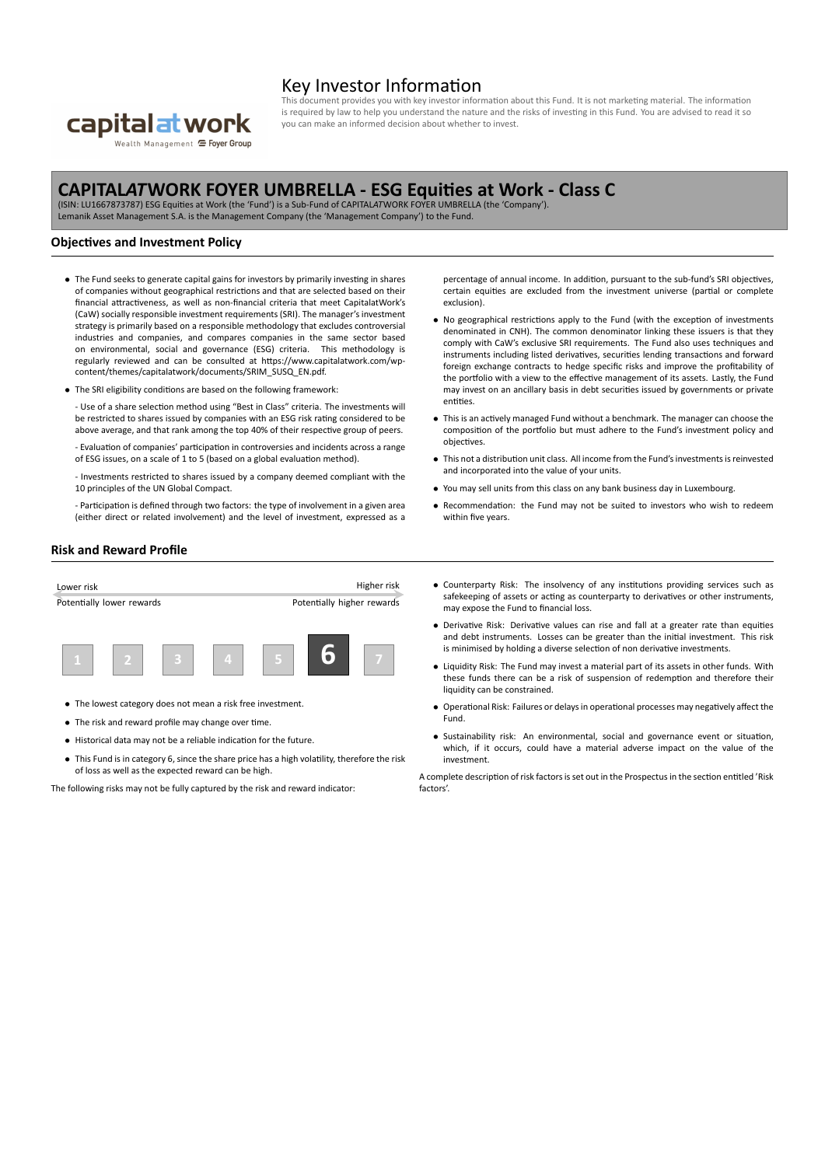

Wealth Management <sup>C</sup> Foyer Group

## Key Investor Information

cument provides you with key investor information about this Fund. It is not marketing material. The information is required by law to help you understand the nature and the risks of investing in this Fund. You are advised to read it so you can make an informed decision about whether to invest.

# **CAPITAL***AT***WORK FOYER UMBRELLA ‐ ESG Equities at Work ‐ Class C** (ISIN: LU1667873787) ESG Equities at Work (the 'Fund') is a Sub‐Fund of CAPITAL*AT*WORK FOYER UMBRELLA (the 'Company').

Lemanik Asset Management S.A. is the Management Company (the 'Management Company') to the Fund.

### **Objectives and Investment Policy**

- *•* The Fund seeks to generate capital gains for investors by primarily investing in shares of companies without geographical restrictions and that are selected based on their financial attractiveness, as well as non‐financial criteria that meet CapitalatWork's (CaW) socially responsible investment requirements (SRI). The manager's investment strategy is primarily based on a responsible methodology that excludes controversial industries and companies, and compares companies in the same sector based on environmental, social and governance (ESG) criteria. This methodology is regularly reviewed and can be consulted at https://www.capitalatwork.com/wp‐ content/themes/capitalatwork/documents/SRIM\_SUSQ\_EN.pdf.
- *•* The SRI eligibility conditions are based on the following framework:

‐ Use of a share selection method using "Best in Class" criteria. The investments will be restricted to shares issued by companies with an ESG risk rating considered to be above average, and that rank among the top 40% of their respective group of peers.

‐ Evaluation of companies' participation in controversies and incidents across a range of ESG issues, on a scale of 1 to 5 (based on a global evaluation method).

‐ Investments restricted to shares issued by a company deemed compliant with the 10 principles of the UN Global Compact.

‐ Participation is defined through two factors: the type of involvement in a given area (either direct or related involvement) and the level of investment, expressed as a percentage of annual income. In addition, pursuant to the sub-fund's SRI objectives, certain equities are excluded from the investment universe (partial or complete exclusion).

- No geographical restrictions apply to the Fund (with the exception of investments denominated in CNH). The common denominator linking these issuers is that they comply with CaW's exclusive SRI requirements. The Fund also uses techniques and instruments including listed derivatives, securities lending transactions and forward foreign exchange contracts to hedge specific risks and improve the profitability of the portfolio with a view to the effective management of its assets. Lastly, the Fund may invest on an ancillary basis in debt securities issued by governments or private entities.
- *•* This is an actively managed Fund without a benchmark. The manager can choose the composition of the portfolio but must adhere to the Fund's investment policy and objectives.
- *•* This not a distribution unit class. All income from the Fund's investments is reinvested and incorporated into the value of your units.
- *•* You may sell units from this class on any bank business day in Luxembourg.
- *•* Recommendation: the Fund may not be suited to investors who wish to redeem within five years.

#### **Risk and Reward Profile**



- *•* The lowest category does not mean a risk free investment.
- *•* The risk and reward profile may change over time.
- *•* Historical data may not be a reliable indication for the future.
- *•* This Fund is in category 6, since the share price has a high volatility, therefore the risk of loss as well as the expected reward can be high.

The following risks may not be fully captured by the risk and reward indicator:

- *•* Counterparty Risk: The insolvency of any institutions providing services such as safekeeping of assets or acting as counterparty to derivatives or other instruments, may expose the Fund to financial loss.
- *•* Derivative Risk: Derivative values can rise and fall at a greater rate than equities and debt instruments. Losses can be greater than the initial investment. This risk is minimised by holding a diverse selection of non derivative investments.
- *•* Liquidity Risk: The Fund may invest a material part of its assets in other funds. With these funds there can be a risk of suspension of redemption and therefore their liquidity can be constrained.
- *•* Operational Risk: Failures or delays in operational processes may negatively affect the Fund.
- *•* Sustainability risk: An environmental, social and governance event or situation, which, if it occurs, could have a material adverse impact on the value of the investment.

A complete description of risk factors is set out in the Prospectus in the section entitled 'Risk factors'.